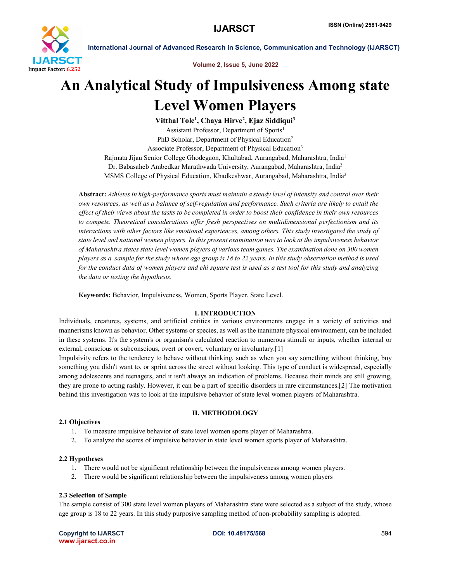

International Journal of Advanced Research in Science, Communication and Technology (IJARSCT)

Volume 2, Issue 5, June 2022

# An Analytical Study of Impulsiveness Among state Level Women Players

Vitthal Tole<sup>1</sup>, Chaya Hirve<sup>2</sup>, Ejaz Siddiqui<sup>3</sup> Assistant Professor, Department of Sports<sup>1</sup> PhD Scholar, Department of Physical Education<sup>2</sup> Associate Professor, Department of Physical Education<sup>3</sup> Rajmata Jijau Senior College Ghodegaon, Khultabad, Aurangabad, Maharashtra, India1 Dr. Babasaheb Ambedkar Marathwada University, Aurangabad, Maharashtra, India2 MSMS College of Physical Education, Khadkeshwar, Aurangabad, Maharashtra, India3

Abstract: *Athletes in high-performance sports must maintain a steady level of intensity and control over their own resources, as well as a balance of self-regulation and performance. Such criteria are likely to entail the effect of their views about the tasks to be completed in order to boost their confidence in their own resources to compete. Theoretical considerations offer fresh perspectives on multidimensional perfectionism and its interactions with other factors like emotional experiences, among others. This study investigated the study of state level and national women players. In this present examination was to look at the impulsiveness behavior of Maharashtra states state level women players of various team games. The examination done on 300 women players as a sample for the study whose age group is 18 to 22 years. In this study observation method is used for the conduct data of women players and chi square test is used as a test tool for this study and analyzing the data or testing the hypothesis.*

Keywords: Behavior, Impulsiveness, Women, Sports Player, State Level.

# I. INTRODUCTION

Individuals, creatures, systems, and artificial entities in various environments engage in a variety of activities and mannerisms known as behavior. Other systems or species, as well as the inanimate physical environment, can be included in these systems. It's the system's or organism's calculated reaction to numerous stimuli or inputs, whether internal or external, conscious or subconscious, overt or covert, voluntary or involuntary.[1]

Impulsivity refers to the tendency to behave without thinking, such as when you say something without thinking, buy something you didn't want to, or sprint across the street without looking. This type of conduct is widespread, especially among adolescents and teenagers, and it isn't always an indication of problems. Because their minds are still growing, they are prone to acting rashly. However, it can be a part of specific disorders in rare circumstances.[2] The motivation behind this investigation was to look at the impulsive behavior of state level women players of Maharashtra.

# II. METHODOLOGY

# 2.1 Objectives

- 1. To measure impulsive behavior of state level women sports player of Maharashtra.
- 2. To analyze the scores of impulsive behavior in state level women sports player of Maharashtra.

### 2.2 Hypotheses

- 1. There would not be significant relationship between the impulsiveness among women players.
- 2. There would be significant relationship between the impulsiveness among women players

### 2.3 Selection of Sample

The sample consist of 300 state level women players of Maharashtra state were selected as a subject of the study, whose age group is 18 to 22 years. In this study purposive sampling method of non-probability sampling is adopted.

Copyright to IJARSCT **DOI: 10.48175/568** 594 www.ijarsct.co.in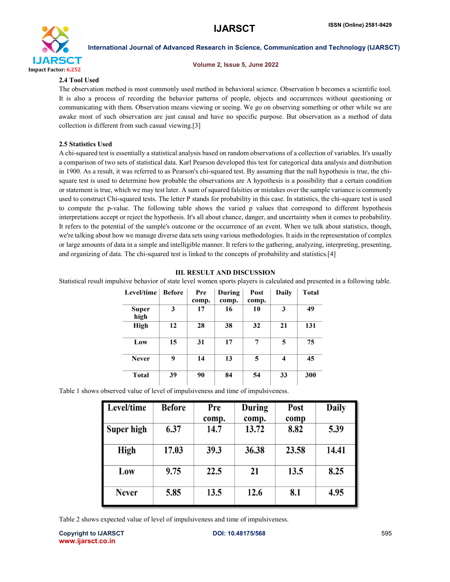

International Journal of Advanced Research in Science, Communication and Technology (IJARSCT)

#### Volume 2, Issue 5, June 2022

#### 2.4 Tool Used

The observation method is most commonly used method in behavioral science. Observation b becomes a scientific tool. It is also a process of recording the behavior patterns of people, objects and occurrences without questioning or communicating with them. Observation means viewing or seeing. We go on observing something or other while we are awake most of such observation are just causal and have no specific purpose. But observation as a method of data collection is different from such casual viewing.[3]

### 2.5 Statistics Used

A chi-squared test is essentially a statistical analysis based on random observations of a collection of variables. It's usually a comparison of two sets of statistical data. Karl Pearson developed this test for categorical data analysis and distribution in 1900. As a result, it was referred to as Pearson's chi-squared test. By assuming that the null hypothesis is true, the chisquare test is used to determine how probable the observations are A hypothesis is a possibility that a certain condition or statement is true, which we may test later. A sum of squared falsities or mistakes over the sample variance is commonly used to construct Chi-squared tests. The letter P stands for probability in this case. In statistics, the chi-square test is used to compute the p-value. The following table shows the varied p values that correspond to different hypothesis interpretations accept or reject the hypothesis. It's all about chance, danger, and uncertainty when it comes to probability. It refers to the potential of the sample's outcome or the occurrence of an event. When we talk about statistics, though, we're talking about how we manage diverse data sets using various methodologies. It aids in the representation of complex or large amounts of data in a simple and intelligible manner. It refers to the gathering, analyzing, interpreting, presenting, and organizing of data. The chi-squared test is linked to the concepts of probability and statistics.[4]

# III. RESULT AND DISCUSSION

Statistical result impulsive behavior of state level women sports players is calculated and presented in a following table.

| Level/time    | <b>Before</b> | Pre<br>comp. | During<br>comp. | Post<br>comp. | <b>Daily</b>            | <b>Total</b> |
|---------------|---------------|--------------|-----------------|---------------|-------------------------|--------------|
| Super<br>high | 3             | 17           | 16              | 10            | 3                       | 49           |
| High          | 12            | 28           | 38              | 32            | 21                      | 131          |
| Low           | 15            | 31           | 17              | 7             | 5                       | 75           |
| <b>Never</b>  | 9             | 14           | 13              | 5             | $\overline{\mathbf{4}}$ | 45           |
| <b>Total</b>  | 39            | 90           | 84              | 54            | 33                      | 300          |

Table 1 shows observed value of level of impulsiveness and time of impulsiveness.

| Level/time   | <b>Before</b> | Pre<br>comp. | During<br>comp. | Post<br>comp | <b>Daily</b> |
|--------------|---------------|--------------|-----------------|--------------|--------------|
| Super high   | 6.37          | 14.7         | 13.72           | 8.82         | 5.39         |
| <b>High</b>  | 17.03         | 39.3         | 36.38           | 23.58        | 14.41        |
| Low          | 9.75          | 22.5         | 21              | 13.5         | 8.25         |
| <b>Never</b> | 5.85          | 13.5         | 12.6            | 8.1          | 4.95         |

Table 2 shows expected value of level of impulsiveness and time of impulsiveness.